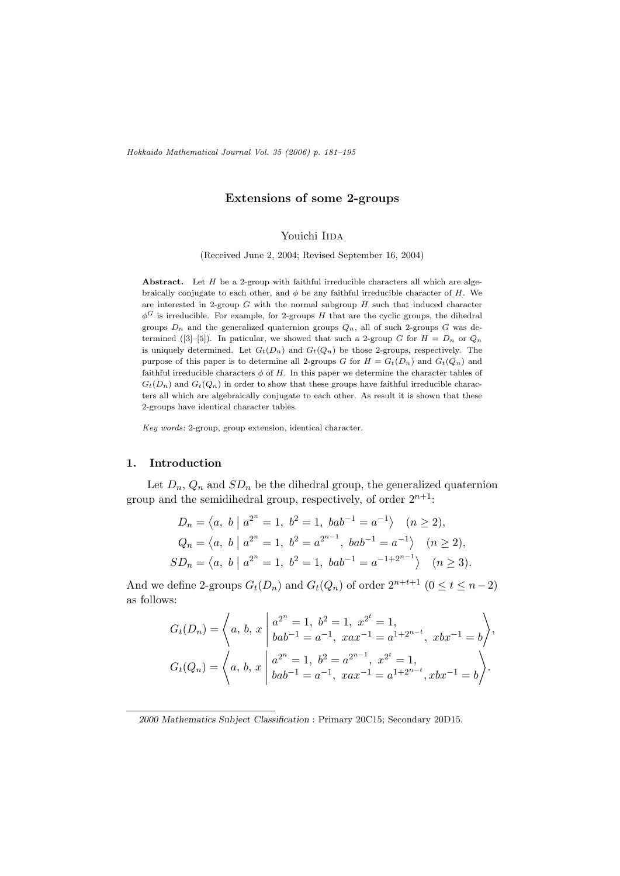Hokkaido Mathematical Journal Vol. 35 (2006) p. 181–195

## Extensions of some 2-groups

## Youichi IIDA

(Received June 2, 2004; Revised September 16, 2004)

Abstract. Let  $H$  be a 2-group with faithful irreducible characters all which are algebraically conjugate to each other, and  $\phi$  be any faithful irreducible character of H. We are interested in 2-group  $G$  with the normal subgroup  $H$  such that induced character  $\phi^G$  is irreducible. For example, for 2-groups H that are the cyclic groups, the dihedral groups  $D_n$  and the generalized quaternion groups  $Q_n$ , all of such 2-groups G was determined ([3]–[5]). In paticular, we showed that such a 2-group G for  $H = D_n$  or  $Q_n$ is uniquely determined. Let  $G_t(D_n)$  and  $G_t(Q_n)$  be those 2-groups, respectively. The purpose of this paper is to determine all 2-groups G for  $H = G_t(D_n)$  and  $G_t(Q_n)$  and faithful irreducible characters  $\phi$  of H. In this paper we determine the character tables of  $G_t(D_n)$  and  $G_t(Q_n)$  in order to show that these groups have faithful irreducible characters all which are algebraically conjugate to each other. As result it is shown that these 2-groups have identical character tables.

Key words: 2-group, group extension, identical character.

### 1. Introduction

Let  $D_n$ ,  $Q_n$  and  $SD_n$  be the dihedral group, the generalized quaternion group and the semidihedral group, respectively, of order  $2^{n+1}$ :

$$
D_n = \langle a, b \mid a^{2^n} = 1, b^2 = 1, bab^{-1} = a^{-1} \rangle \quad (n \ge 2),
$$
  
\n
$$
Q_n = \langle a, b \mid a^{2^n} = 1, b^2 = a^{2^{n-1}}, bab^{-1} = a^{-1} \rangle \quad (n \ge 2),
$$
  
\n
$$
SD_n = \langle a, b \mid a^{2^n} = 1, b^2 = 1, bab^{-1} = a^{-1+2^{n-1}} \rangle \quad (n \ge 3).
$$

And we define 2-groups  $G_t(D_n)$  and  $G_t(Q_n)$  of order  $2^{n+t+1}$   $(0 \le t \le n-2)$ as follows:

$$
G_t(D_n) = \left\langle a, b, x \mid a^{2^n} = 1, b^2 = 1, x^{2^t} = 1,
$$
  
\n
$$
G_t(D_n) = \left\langle a, b, x \mid a^{2^n} = 1, b^2 = a^{-1}, xax^{-1} = a^{1+2^{n-t}}, xbx^{-1} = b \right\rangle.
$$
  
\n
$$
G_t(Q_n) = \left\langle a, b, x \mid a^{2^n} = 1, b^2 = a^{2^{n-1}}, x^{2^t} = 1,
$$
  
\n
$$
bab^{-1} = a^{-1}, xax^{-1} = a^{1+2^{n-t}}, xbx^{-1} = b \right\rangle.
$$

<sup>2000</sup> Mathematics Subject Classification : Primary 20C15; Secondary 20D15.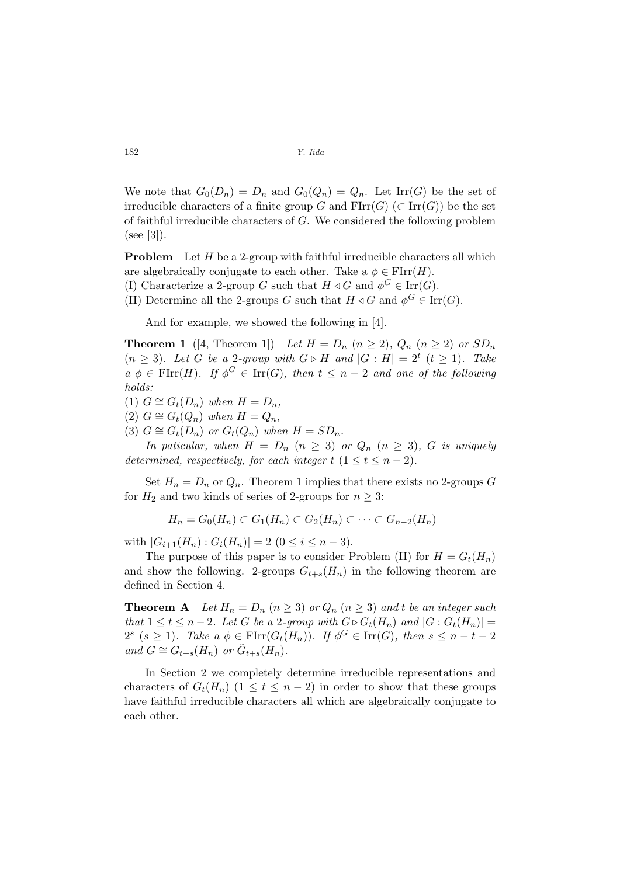We note that  $G_0(D_n) = D_n$  and  $G_0(Q_n) = Q_n$ . Let  $\text{Irr}(G)$  be the set of irreducible characters of a finite group G and  $\text{FIrr}(G)$  (⊂  $\text{Irr}(G)$ ) be the set of faithful irreducible characters of G. We considered the following problem  $(see [3]).$ 

**Problem** Let  $H$  be a 2-group with faithful irreducible characters all which are algebraically conjugate to each other. Take a  $\phi \in \mathrm{FIrr}(H)$ .

- (I) Characterize a 2-group G such that  $H \triangleleft G$  and  $\phi^G \in \text{Irr}(G)$ .
- (II) Determine all the 2-groups G such that  $H \triangleleft G$  and  $\phi^G \in \text{Irr}(G)$ .

And for example, we showed the following in [4].

**Theorem 1** ([4, Theorem 1]) Let  $H = D_n$   $(n \ge 2)$ ,  $Q_n$   $(n \ge 2)$  or  $SD_n$  $(n \geq 3)$ . Let G be a 2-group with  $G \triangleright H$  and  $|G : H| = 2^t$   $(t \geq 1)$ . Take  $a \phi \in \text{FIrr}(H)$ . If  $\phi^G \in \text{Irr}(G)$ , then  $t \leq n-2$  and one of the following holds:

(1)  $G \cong G_t(D_n)$  when  $H = D_n$ ,

(2)  $G \cong G_t(Q_n)$  when  $H = Q_n$ ,

(3)  $G \cong G_t(D_n)$  or  $G_t(Q_n)$  when  $H = SD_n$ .

In paticular, when  $H = D_n$   $(n \geq 3)$  or  $Q_n$   $(n \geq 3)$ , G is uniquely determined, respectively, for each integer  $t$   $(1 \le t \le n - 2)$ .

Set  $H_n = D_n$  or  $Q_n$ . Theorem 1 implies that there exists no 2-groups G for  $H_2$  and two kinds of series of 2-groups for  $n \geq 3$ :

$$
H_n = G_0(H_n) \subset G_1(H_n) \subset G_2(H_n) \subset \cdots \subset G_{n-2}(H_n)
$$

with  $|G_{i+1}(H_n) : G_i(H_n)| = 2$   $(0 \leq i \leq n-3)$ .

The purpose of this paper is to consider Problem (II) for  $H = G_t(H_n)$ and show the following. 2-groups  $G_{t+s}(H_n)$  in the following theorem are defined in Section 4.

**Theorem A** Let  $H_n = D_n$   $(n \geq 3)$  or  $Q_n$   $(n \geq 3)$  and t be an integer such that  $1 \leq t \leq n-2$ . Let G be a 2-group with  $G \triangleright G_t(H_n)$  and  $|G: G_t(H_n)| =$  $2^s$  ( $s \geq 1$ ). Take  $a \phi \in \text{FIrr}(G_t(H_n))$ . If  $\phi^G \in \text{Irr}(G)$ , then  $s \leq n-t-2$ and  $G \cong G_{t+s}(H_n)$  or  $\tilde{G}_{t+s}(H_n)$ .

In Section 2 we completely determine irreducible representations and characters of  $G_t(H_n)$  (1  $\leq t \leq n-2$ ) in order to show that these groups have faithful irreducible characters all which are algebraically conjugate to each other.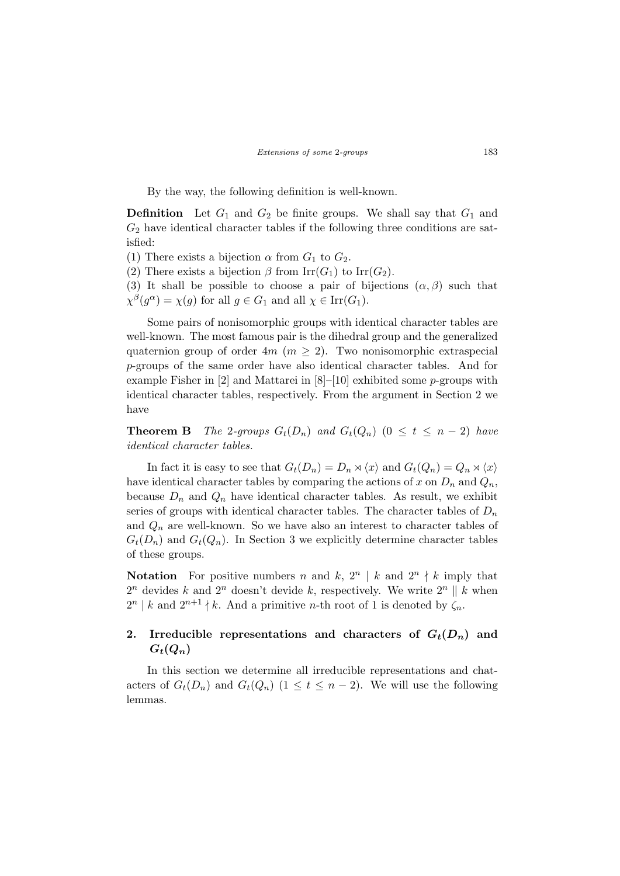By the way, the following definition is well-known.

**Definition** Let  $G_1$  and  $G_2$  be finite groups. We shall say that  $G_1$  and  $G_2$  have identical character tables if the following three conditions are satisfied:

(1) There exists a bijection  $\alpha$  from  $G_1$  to  $G_2$ .

(2) There exists a bijection  $\beta$  from Irr( $G_1$ ) to Irr( $G_2$ ).

(3) It shall be possible to choose a pair of bijections  $(\alpha, \beta)$  such that  $\chi^{\beta}(g^{\alpha}) = \chi(g)$  for all  $g \in G_1$  and all  $\chi \in \text{Irr}(G_1)$ .

Some pairs of nonisomorphic groups with identical character tables are well-known. The most famous pair is the dihedral group and the generalized quaternion group of order  $4m$  ( $m \ge 2$ ). Two nonisomorphic extraspecial p-groups of the same order have also identical character tables. And for example Fisher in  $[2]$  and Mattarei in  $[8]$ – $[10]$  exhibited some *p*-groups with identical character tables, respectively. From the argument in Section 2 we have

**Theorem B** The 2-groups  $G_t(D_n)$  and  $G_t(Q_n)$  ( $0 \le t \le n-2$ ) have identical character tables.

In fact it is easy to see that  $G_t(D_n) = D_n \rtimes \langle x \rangle$  and  $G_t(Q_n) = Q_n \rtimes \langle x \rangle$ have identical character tables by comparing the actions of x on  $D_n$  and  $Q_n$ , because  $D_n$  and  $Q_n$  have identical character tables. As result, we exhibit series of groups with identical character tables. The character tables of  $D_n$ and  $Q_n$  are well-known. So we have also an interest to character tables of  $G_t(D_n)$  and  $G_t(Q_n)$ . In Section 3 we explicitly determine character tables of these groups.

**Notation** For positive numbers n and k,  $2^n \mid k$  and  $2^n \nmid k$  imply that  $2^n$  devides k and  $2^n$  doesn't devide k, respectively. We write  $2^n \parallel k$  when  $2^{n}$  | k and  $2^{n+1}$  | k. And a primitive n-th root of 1 is denoted by  $\zeta_n$ .

# 2. Irreducible representations and characters of  $G_t(D_n)$  and  $G_t(Q_n)$

In this section we determine all irreducible representations and chatacters of  $G_t(D_n)$  and  $G_t(Q_n)$   $(1 \leq t \leq n-2)$ . We will use the following lemmas.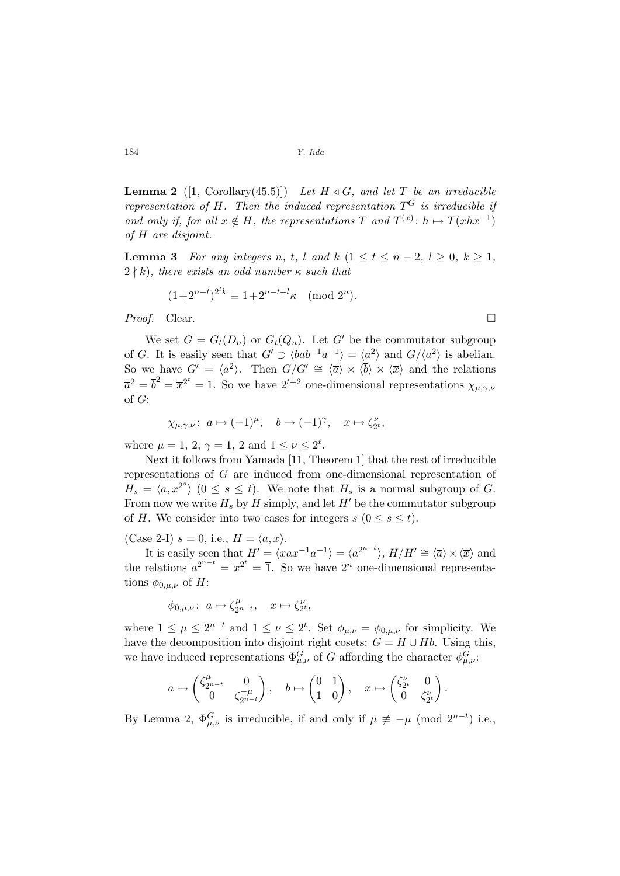**Lemma 2** ([1, Corollary(45.5)]) Let  $H \triangleleft G$ , and let T be an irreducible representation of H. Then the induced representation  $T^G$  is irreducible if and only if, for all  $x \notin H$ , the representations T and  $T^{(x)}$ :  $h \mapsto T(xhx^{-1})$ of H are disjoint.

**Lemma 3** For any integers n, t, l and k  $(1 \le t \le n-2, l \ge 0, k \ge 1,$  $2 \nmid k$ ), there exists an odd number  $\kappa$  such that

$$
(1+2^{n-t})^{2^l k} \equiv 1+2^{n-t+l} \kappa \pmod{2^n}.
$$

Proof. Clear.

We set  $G = G_t(D_n)$  or  $G_t(Q_n)$ . Let G' be the commutator subgroup of G. It is easily seen that  $G' \supset \langle bab^{-1}a^{-1} \rangle = \langle a^2 \rangle$  and  $G/\langle a^2 \rangle$  is abelian. So we have  $G' = \langle a^2 \rangle$ . Then  $G/G' \cong \langle \overline{a} \rangle \times \langle \overline{b} \rangle \times \langle \overline{x} \rangle$  and the relations  $\overline{a}^2 = \overline{b}^2 = \overline{x}^{2^t} = \overline{1}$ . So we have  $2^{t+2}$  one-dimensional representations  $\chi_{\mu,\gamma,\nu}$ of G:

$$
\chi_{\mu,\gamma,\nu}\colon a \mapsto (-1)^{\mu}, \quad b \mapsto (-1)^{\gamma}, \quad x \mapsto \zeta_{2^t}^{\nu},
$$

where  $\mu = 1, 2, \gamma = 1, 2$  and  $1 \leq \nu \leq 2^t$ .

Next it follows from Yamada [11, Theorem 1] that the rest of irreducible representations of G are induced from one-dimensional representation of  $H_s = \langle a, x^{2^s} \rangle$   $(0 \le s \le t)$ . We note that  $H_s$  is a normal subgroup of G. From now we write  $H_s$  by H simply, and let H<sup>t</sup> be the commutator subgroup of H. We consider into two cases for integers  $s$  ( $0 \leq s \leq t$ ).

(Case 2-I)  $s = 0$ , i.e.,  $H = \langle a, x \rangle$ .

It is easily seen that  $H' = \langle xax^{-1}a^{-1} \rangle = \langle a^{2^{n-t}} \rangle$ ,  $H/H' \cong \langle \overline{a} \rangle \times \langle \overline{x} \rangle$  and the relations  $\overline{a}^{2^{n-t}} = \overline{x}^{2^t} = \overline{1}$ . So we have  $2^n$  one-dimensional representations  $\phi_{0,\mu,\nu}$  of H:

$$
\phi_{0,\mu,\nu}\colon\ a\mapsto \zeta_{2^{n-t}}^\mu,\quad x\mapsto \zeta_{2^t}^\nu,
$$

where  $1 \leq \mu \leq 2^{n-t}$  and  $1 \leq \nu \leq 2^t$ . Set  $\phi_{\mu,\nu} = \phi_{0,\mu,\nu}$  for simplicity. We have the decomposition into disjoint right cosets:  $G = H \cup Hb$ . Using this, we have induced representations  $\Phi_{\mu,\nu}^G$  of G affording the character  $\phi_{\mu,\nu}^G$ .

$$
a\mapsto \begin{pmatrix} \zeta^\mu_{2^{n-t}} & 0 \\ 0 & \zeta^{-\mu}_{2^{n-t}} \end{pmatrix}, \quad b\mapsto \begin{pmatrix} 0 & 1 \\ 1 & 0 \end{pmatrix}, \quad x\mapsto \begin{pmatrix} \zeta^\nu_{2^t} & 0 \\ 0 & \zeta^\nu_{2^t} \end{pmatrix}.
$$

By Lemma 2,  $\Phi_{\mu,\nu}^G$  is irreducible, if and only if  $\mu \not\equiv -\mu \pmod{2^{n-t}}$  i.e.,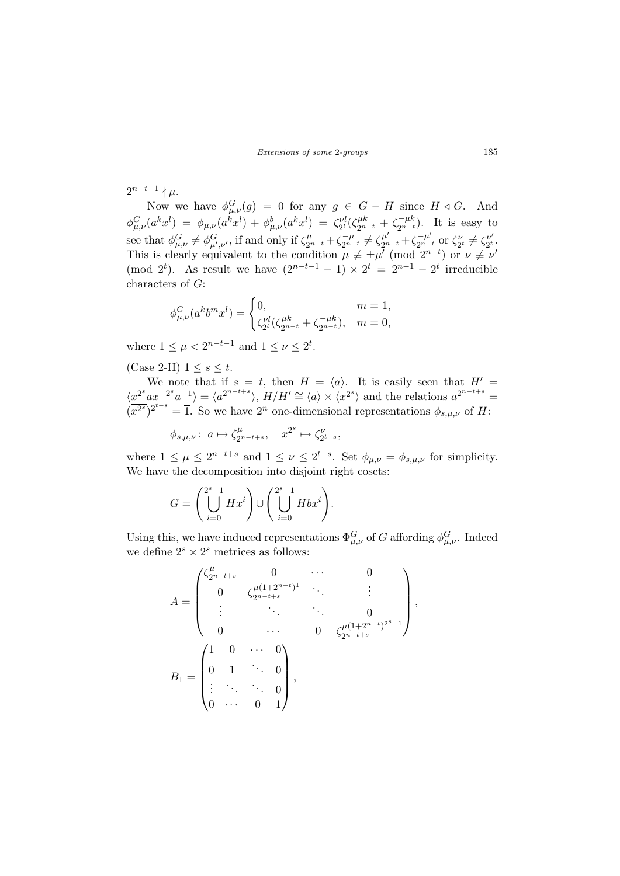$2^{n-t-1} \nmid \mu.$ 

Now we have  $\phi_{\mu,\nu}^G(g) = 0$  for any  $g \in G - H$  since  $H \triangleleft G$ . And  $\phi_{\mu,\nu}^G(a^k x^l) = \phi_{\mu,\nu}(a^k x^l) + \phi_{\mu,\nu}^b(a^k x^l) = \zeta_{2^t}^{\nu l}(\zeta_{2^{n-t}}^{\mu k} + \zeta_{2^{n-t}}^{-\mu k})$ . It is easy to see that  $\phi_{\mu,\nu}^G \neq \phi_{\mu',\nu'}^G$ , if and only if  $\zeta_{2^{n-t}}^{\mu} + \zeta_{2^{n-t}}^{-\mu} \neq \zeta_{2^{n-t}}^{\mu'} + \zeta_{2^{n-t}}^{-\mu'}$  or  $\zeta_{2^{t}}^{\nu} \neq \zeta_{2^{t}}^{\nu'}$  $\frac{\nu'}{2^t}.$ This is clearly equivalent to the condition  $\mu \not\equiv \pm \mu^{\prime} \pmod{2^{n-t}}$  or  $\nu \not\equiv \nu^{\prime}$ (mod  $2^t$ ). As result we have  $(2^{n-t-1}-1) \times 2^t = 2^{n-1}-2^t$  irreducible characters of G:

$$
\phi_{\mu,\nu}^G(a^k b^m x^l) = \begin{cases} 0, & m = 1, \\ \zeta_{2^l}^{\nu l}(\zeta_{2^{n-t}}^{\mu k} + \zeta_{2^{n-t}}^{-\mu k}), & m = 0, \end{cases}
$$

where  $1 \leq \mu < 2^{n-t-1}$  and  $1 \leq \nu \leq 2^t$ .

(Case 2-II)  $1 \leq s \leq t$ .

We note that if  $s = t$ , then  $H = \langle a \rangle$ . It is easily seen that  $H' =$  $\langle x^{2^s}ax^{-2^s}a^{-1}\rangle = \langle a^{2^{n-t+s}}\rangle$ ,  $H/H' \cong \langle \overline{a}\rangle \times \langle \overline{x^{2^s}}\rangle$  and the relations  $\overline{a}^{2^{n-t+s}} =$  $(\overline{x^{2s}})^{2^{t-s}} = \overline{1}$ . So we have  $2^n$  one-dimensional representations  $\phi_{s,\mu,\nu}$  of H:

> $\phi_{s,\mu,\nu}$ :  $a \mapsto \zeta_{2}^{\mu}$  $x^{2^s} \mapsto \zeta_{2^{t-s}}^{\nu},$

where  $1 \leq \mu \leq 2^{n-t+s}$  and  $1 \leq \nu \leq 2^{t-s}$ . Set  $\phi_{\mu,\nu} = \phi_{s,\mu,\nu}$  for simplicity. We have the decomposition into disjoint right cosets:

$$
G = \left(\bigcup_{i=0}^{2^s-1} Hx^i\right) \cup \left(\bigcup_{i=0}^{2^s-1} Hbx^i\right).
$$

Using this, we have induced representations  $\Phi_{\mu,\nu}^G$  of G affording  $\phi_{\mu,\nu}^G$ . Indeed we define  $2^s \times 2^s$  metrices as follows:

$$
A = \begin{pmatrix} \zeta_{2^{n-t+s}}^{\mu} & 0 & \cdots & 0 \\ 0 & \zeta_{2^{n-t+s}}^{\mu(1+2^{n-t})^1} & \cdots & \vdots \\ \vdots & \ddots & \ddots & 0 \\ 0 & \cdots & 0 & \zeta_{2^{n-t+s}}^{\mu(1+2^{n-t})^{2^s-1}} \end{pmatrix},
$$
  

$$
B_1 = \begin{pmatrix} 1 & 0 & \cdots & 0 \\ 0 & 1 & \ddots & 0 \\ \vdots & \ddots & \ddots & 0 \\ 0 & \cdots & 0 & 1 \end{pmatrix},
$$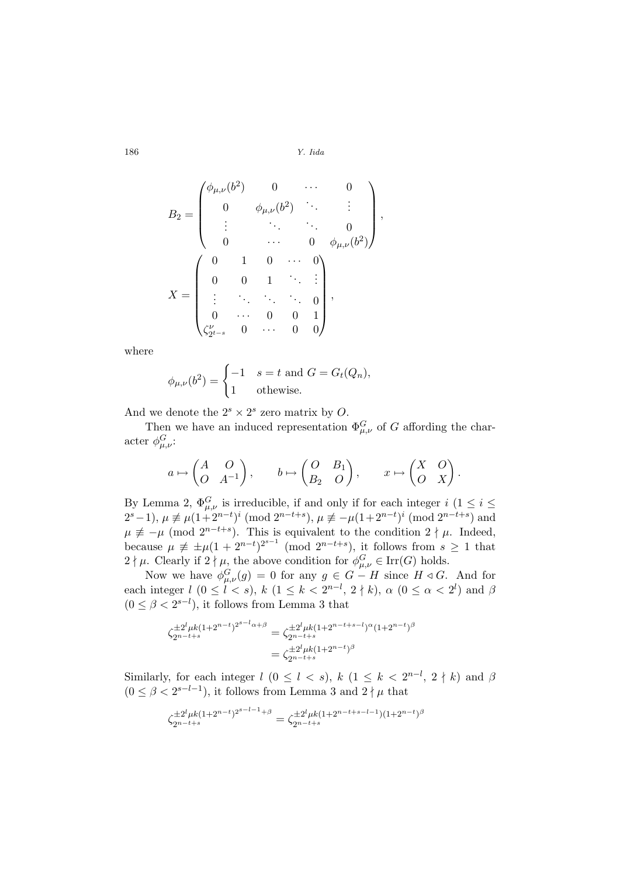,

$$
B_2 = \begin{pmatrix} \phi_{\mu,\nu}(b^2) & 0 & \cdots & 0 \\ 0 & \phi_{\mu,\nu}(b^2) & \ddots & \vdots \\ \vdots & \ddots & \ddots & 0 \\ 0 & \cdots & 0 & \phi_{\mu,\nu}(b^2) \end{pmatrix}
$$

$$
X = \begin{pmatrix} 0 & 1 & 0 & \cdots & 0 \\ 0 & 0 & 1 & \ddots & \vdots \\ \vdots & \ddots & \ddots & \ddots & 0 \\ 0 & \cdots & 0 & 0 & 1 \\ \zeta_{2^{t-s}}^{\nu} & 0 & \cdots & 0 & 0 \end{pmatrix},
$$

where

$$
\phi_{\mu,\nu}(b^2) = \begin{cases}\n-1 & s = t \text{ and } G = G_t(Q_n), \\
1 & \text{otherwise.} \n\end{cases}
$$

And we denote the  $2^s \times 2^s$  zero matrix by O.

Then we have an induced representation  $\Phi_{\mu,\nu}^G$  of G affording the character  $\phi_{\mu,\nu}^G$ :

$$
a \mapsto \begin{pmatrix} A & O \\ O & A^{-1} \end{pmatrix}, \qquad b \mapsto \begin{pmatrix} O & B_1 \\ B_2 & O \end{pmatrix}, \qquad x \mapsto \begin{pmatrix} X & O \\ O & X \end{pmatrix}.
$$

By Lemma 2,  $\Phi_{\mu,\nu}^G$  is irreducible, if and only if for each integer  $i$  ( $1 \leq i \leq$  $2^{s}-1$ ),  $\mu \not\equiv \mu(1+2^{n-t})^i \pmod{2^{n-t+s}}$ ,  $\mu \not\equiv -\mu(1+2^{n-t})^i \pmod{2^{n-t+s}}$  and  $\mu \neq -\mu \pmod{2^{n-t+s}}$ . This is equivalent to the condition  $2 \nmid \mu$ . Indeed, because  $\mu \neq \pm \mu (1 + 2^{n-t})^{2^{s-1}}$  (mod  $2^{n-t+s}$ ), it follows from  $s \geq 1$  that  $2 \nmid \mu$ . Clearly if  $2 \nmid \mu$ , the above condition for  $\phi_{\mu,\nu}^G \in \text{Irr}(G)$  holds.

Now we have  $\phi_{\mu,\nu}^G(g) = 0$  for any  $g \in G - H$  since  $H \triangleleft G$ . And for each integer  $l$   $(0 \leq l < s)$ ,  $k$   $(1 \leq k < 2^{n-l}, 2 \nmid k)$ ,  $\alpha$   $(0 \leq \alpha < 2^l)$  and  $\beta$  $(0 \leq \beta < 2^{s-l})$ , it follows from Lemma 3 that

$$
\zeta_{2^{n-t+s}}^{\pm 2^{l} \mu k (1+2^{n-t})^{2^{s-l} \alpha + \beta}} = \zeta_{2^{n-t+s}}^{\pm 2^{l} \mu k (1+2^{n-t+s-l})^{\alpha} (1+2^{n-t})^{\beta}}
$$

$$
= \zeta_{2^{n-t+s}}^{\pm 2^{l} \mu k (1+2^{n-t})^{\beta}}
$$

Similarly, for each integer  $l$   $(0 \leq l \leq s)$ ,  $k$   $(1 \leq k \leq 2^{n-l}, 2 \nmid k)$  and  $\beta$  $(0 \leq \beta < 2^{s-l-1})$ , it follows from Lemma 3 and  $2 \nmid \mu$  that

$$
\zeta_{2^{n-t+s}}^{\pm 2^{l}\mu k(1+2^{n-t})^{2^{s-l-1}+\beta}} = \zeta_{2^{n-t+s}}^{\pm 2^{l}\mu k(1+2^{n-t+s-l-1})(1+2^{n-t})^{\beta}}
$$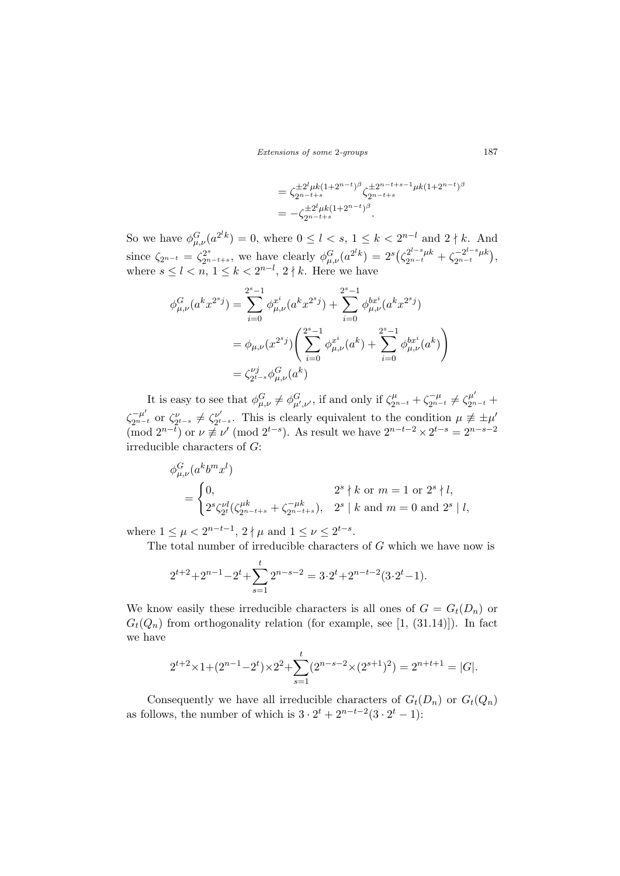Extensions of some 2-groups 187

$$
\begin{split} &= \zeta_{2^{n-t+s}}^{\pm 2^l \mu k (1+2^{n-t})^\beta} \zeta_{2^{n-t+s}}^{\pm 2^{n-t+s-1} \mu k (1+2^{n-t})^\beta} \\ &= - \zeta_{2^{n-t+s}}^{\pm 2^l \mu k (1+2^{n-t})^\beta}. \end{split}
$$

So we have  $\phi_{\mu,\nu}^G(a^{2^lk}) = 0$ , where  $0 \leq l < s$ ,  $1 \leq k < 2^{n-l}$  and  $2 \nmid k$ . And since  $\zeta_{2^{n-t}} = \zeta_{2^{n-t+s}}^{2^s}$ , we have clearly  $\phi_{\mu,\nu}^G(a^{2^lk}) = 2^s$  $\zeta_{2n-t}^{2^{l-s}\mu k}+\zeta_{2n-t}^{-2^{l-s}\mu k}$  $2^{n-t}$ ¢ , where  $s \leq l < n, 1 \leq k < 2^{n-l}, 2 \nmid k$ . Here we have

$$
\phi_{\mu,\nu}^G(a^k x^{2^s j}) = \sum_{i=0}^{2^s-1} \phi_{\mu,\nu}^{x^i}(a^k x^{2^s j}) + \sum_{i=0}^{2^s-1} \phi_{\mu,\nu}^{bx^i}(a^k x^{2^s j})
$$
  
=  $\phi_{\mu,\nu}(x^{2^s j}) \left( \sum_{i=0}^{2^s-1} \phi_{\mu,\nu}^{x^i}(a^k) + \sum_{i=0}^{2^s-1} \phi_{\mu,\nu}^{bx^i}(a^k) \right)$   
=  $\zeta_{2^t-s}^{y^j} \phi_{\mu,\nu}^G(a^k)$ 

It is easy to see that  $\phi_{\mu,\nu}^G \neq \phi_{\mu',\nu'}^G$ , if and only if  $\zeta_{2^{n-t}}^\mu + \zeta_{2^{n-t}}^{-\mu} \neq \zeta_{2^{n-t}}^{\mu'} +$  $\zeta_{2^{n-t}}^{-\mu'}$  or  $\zeta_{2^{t-s}}^{\nu'} \neq \zeta_{2^{t}}^{\nu'}$  $v'_{2^{t-s}}$ . This is clearly equivalent to the condition  $\mu \not\equiv \pm \mu'$  $(\text{mod } 2^{n-\overline{t}})$  or  $\nu \not\equiv \nu' \pmod{2^{t-s}}$ . As result we have  $2^{n-t-2} \times 2^{t-s} = 2^{n-s-2}$ irreducible characters of G:

$$
\phi_{\mu,\nu}^G(a^k b^m x^l)
$$
\n
$$
= \begin{cases}\n0, & 2^s \nmid k \text{ or } m = 1 \text{ or } 2^s \nmid l, \\
2^s \zeta_{2^t}^{\nu l} (\zeta_{2^{n-t+s}}^{\mu k} + \zeta_{2^{n-t+s}}^{-\mu k}), & 2^s \mid k \text{ and } m = 0 \text{ and } 2^s \mid l,\n\end{cases}
$$

where  $1 \leq \mu < 2^{n-t-1}$ ,  $2 \nmid \mu$  and  $1 \leq \nu \leq 2^{t-s}$ .

The total number of irreducible characters of G which we have now is

$$
2^{t+2} + 2^{n-1} - 2^t + \sum_{s=1}^t 2^{n-s-2} = 3 \cdot 2^t + 2^{n-t-2} (3 \cdot 2^t - 1).
$$

We know easily these irreducible characters is all ones of  $G = G_t(D_n)$  or  $G_t(Q_n)$  from orthogonality relation (for example, see [1, (31.14)]). In fact we have

$$
2^{t+2} \times 1 + (2^{n-1} - 2^t) \times 2^2 + \sum_{s=1}^t (2^{n-s-2} \times (2^{s+1})^2) = 2^{n+t+1} = |G|.
$$

Consequently we have all irreducible characters of  $G_t(D_n)$  or  $G_t(Q_n)$ as follows, the number of which is  $3 \cdot 2^{t} + 2^{n-t-2}(3 \cdot 2^{t} - 1)$ :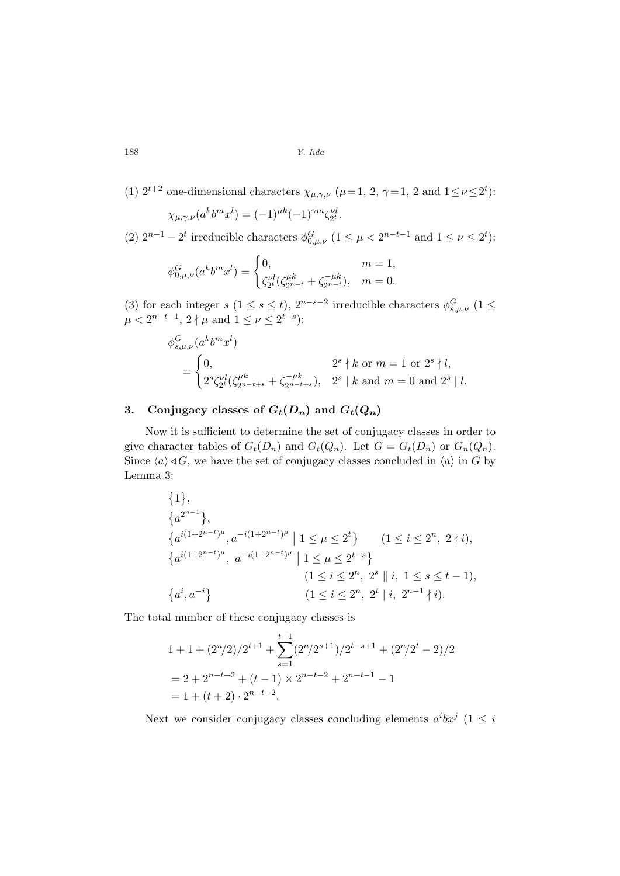(1) 
$$
2^{t+2}
$$
 one-dimensional characters  $\chi_{\mu,\gamma,\nu}$  ( $\mu=1, 2, \gamma=1, 2$  and  $1 \le \nu \le 2^t$ ):

$$
\chi_{\mu,\gamma,\nu}(a^k b^m x^l) = (-1)^{\mu k} (-1)^{\gamma m} \zeta_{2^t}^{\nu l}.
$$

(2)  $2^{n-1} - 2^t$  irreducible characters  $\phi_{0,\mu,\nu}^G$  ( $1 \leq \mu < 2^{n-t-1}$  and  $1 \leq \nu \leq 2^t$ ):

$$
\phi_{0,\mu,\nu}^G(a^k b^m x^l) = \begin{cases} 0, & m = 1, \\ \zeta_{2^l}^{\nu l}(\zeta_{2^{n-t}}^{\mu k} + \zeta_{2^{n-t}}^{-\mu k}), & m = 0. \end{cases}
$$

(3) for each integer s  $(1 \leq s \leq t)$ ,  $2^{n-s-2}$  irreducible characters  $\phi_{s,\mu,\nu}^G$   $(1 \leq$  $\mu < 2^{n-t-1}, 2 \nmid \mu \text{ and } 1 \leq \nu \leq 2^{t-s}$ :

$$
\phi_{s,\mu,\nu}^{G}(a^{k}b^{m}x^{l})
$$
\n
$$
= \begin{cases}\n0, & 2^{s} \nmid k \text{ or } m = 1 \text{ or } 2^{s} \nmid l, \\
2^{s}\zeta_{2^{t}}^{\nu l}(\zeta_{2^{n-t+s}}^{\mu k} + \zeta_{2^{n-t+s}}^{-\mu k}), & 2^{s} \mid k \text{ and } m = 0 \text{ and } 2^{s} \mid l.\n\end{cases}
$$

# 3. Conjugacy classes of  $G_t(D_n)$  and  $G_t(Q_n)$

Now it is sufficient to determine the set of conjugacy classes in order to give character tables of  $G_t(D_n)$  and  $G_t(Q_n)$ . Let  $G = G_t(D_n)$  or  $G_n(Q_n)$ . Since  $\langle a \rangle \triangleleft G$ , we have the set of conjugacy classes concluded in  $\langle a \rangle$  in G by Lemma 3:

$$
\{1\},
$$
  
\n
$$
\{a^{2^{n-1}}\},
$$
  
\n
$$
\{a^{i(1+2^{n-t})^{\mu}}, a^{-i(1+2^{n-t})^{\mu}} \mid 1 \leq \mu \leq 2^{t}\}
$$
  
\n
$$
\{a^{i(1+2^{n-t})^{\mu}}, a^{-i(1+2^{n-t})^{\mu}} \mid 1 \leq \mu \leq 2^{t-s}\}
$$
  
\n
$$
\{1 \leq i \leq 2^{n}, 2^{s} \parallel i, 1 \leq s \leq t-1\},
$$
  
\n
$$
\{a^{i}, a^{-i}\}
$$
  
\n
$$
\{1 \leq i \leq 2^{n}, 2^{t} \mid i, 2^{n-1} \nmid i\}.
$$

The total number of these conjugacy classes is

$$
1 + 1 + (2^n/2)/2^{t+1} + \sum_{s=1}^{t-1} (2^n/2^{s+1})/2^{t-s+1} + (2^n/2^t - 2)/2
$$
  
= 2 + 2<sup>n-t-2</sup> + (t - 1) × 2<sup>n-t-2</sup> + 2<sup>n-t-1</sup> - 1  
= 1 + (t + 2) · 2<sup>n-t-2</sup>.

Next we consider conjugacy classes concluding elements  $a^i b x^j$  (1  $\leq i$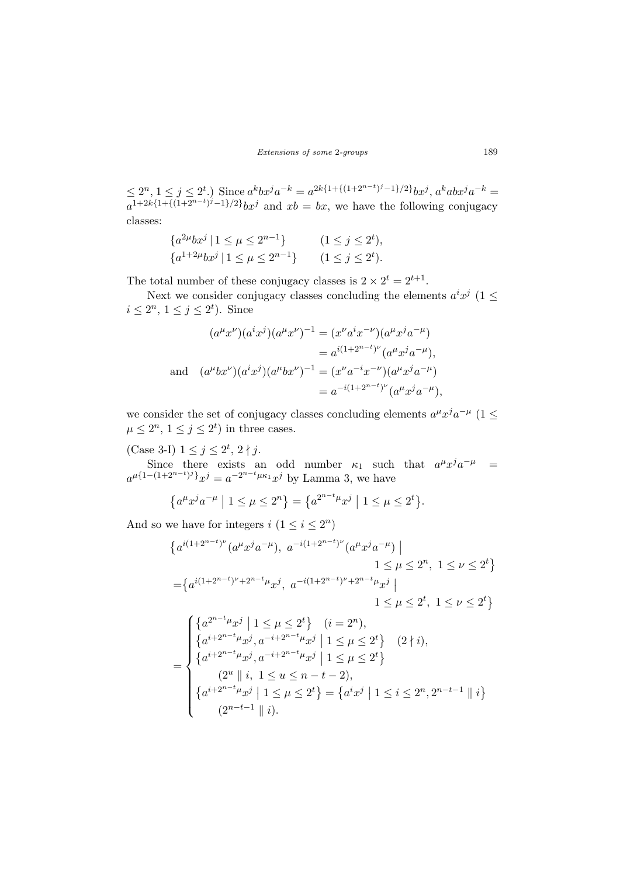Extensions of some 2-groups 189

 $\leq 2^n, 1 \leq j \leq 2^t$ .) Since  $a^k b x^j a^{-k} = a^{2k\{1 + \{(1+2^{n-t})^j-1\}/2\}} bx^j, a^k a b x^j a^{-k} =$  $a^{1+2k{1}+{(1+2^{n-t})^j-1}/2}bx^j$  and  $xb = bx$ , we have the following conjugacy classes:

$$
\{a^{2\mu}bx^j \mid 1 \le \mu \le 2^{n-1}\} \qquad (1 \le j \le 2^t),
$$
  

$$
\{a^{1+2\mu}bx^j \mid 1 \le \mu \le 2^{n-1}\} \qquad (1 \le j \le 2^t).
$$

The total number of these conjugacy classes is  $2 \times 2^t = 2^{t+1}$ .

Next we consider conjugacy classes concluding the elements  $a^i x^j$  (1  $\leq$  $i \leq 2^n, 1 \leq j \leq 2^t$ . Since

$$
(a^{\mu}x^{\nu})(a^{i}x^{j})(a^{\mu}x^{\nu})^{-1} = (x^{\nu}a^{i}x^{-\nu})(a^{\mu}x^{j}a^{-\mu})
$$
  
\n
$$
= a^{i(1+2^{n-t})^{\nu}}(a^{\mu}x^{j}a^{-\mu}),
$$
  
\nand 
$$
(a^{\mu}bx^{\nu})(a^{i}x^{j})(a^{\mu}bx^{\nu})^{-1} = (x^{\nu}a^{-i}x^{-\nu})(a^{\mu}x^{j}a^{-\mu})
$$
  
\n
$$
= a^{-i(1+2^{n-t})^{\nu}}(a^{\mu}x^{j}a^{-\mu}),
$$

we consider the set of conjugacy classes concluding elements  $a^{\mu}x^{j}a^{-\mu}$  (1  $\leq$  $\mu \leq 2^n, 1 \leq j \leq 2^t$  in three cases.

(Case 3-I)  $1 \leq j \leq 2^t$ ,  $2 \nmid j$ .

Since there exists an odd number  $\kappa_1$  such that  $a^{\mu}x^{\dot{\jmath}}a^{-\mu}$  =  $a^{\mu\{1-(1+2^{n-t})^j\}}x^j = a^{-2^{n-t}\mu\kappa_1}x^j$  by Lamma 3, we have

$$
\{a^{\mu}x^{j}a^{-\mu} \mid 1 \le \mu \le 2^{n}\} = \{a^{2^{n-t}\mu}x^{j} \mid 1 \le \mu \le 2^{t}\}.
$$

And so we have for integers  $i$   $(1 \leq i \leq 2^n)$ 

$$
\{a^{i(1+2^{n-t})\nu}(a^{\mu}x^{j}a^{-\mu}), a^{-i(1+2^{n-t})\nu}(a^{\mu}x^{j}a^{-\mu}) \mid 1 \leq \mu \leq 2^{n}, 1 \leq \nu \leq 2^{t}\}
$$
  
\n
$$
= \{a^{i(1+2^{n-t})\nu+2^{n-t}\mu}x^{j}, a^{-i(1+2^{n-t})\nu+2^{n-t}\mu}x^{j} \mid 1 \leq \mu \leq 2^{t}, 1 \leq \nu \leq 2^{t}\}
$$
  
\n
$$
\{a^{2^{n-t}\mu}x^{j} \mid 1 \leq \mu \leq 2^{t}\} \quad (i = 2^{n}),
$$
  
\n
$$
\{a^{i+2^{n-t}\mu}x^{j}, a^{-i+2^{n-t}\mu}x^{j} \mid 1 \leq \mu \leq 2^{t}\} \quad (2 \nmid i),
$$
  
\n
$$
\{a^{i+2^{n-t}\mu}x^{j}, a^{-i+2^{n-t}\mu}x^{j} \mid 1 \leq \mu \leq 2^{t}\}
$$
  
\n
$$
(2^{\mu} \parallel i, 1 \leq \mu \leq 2^{t}\} = \{a^{i}x^{j} \mid 1 \leq i \leq 2^{n}, 2^{n-t-1} \parallel i\}
$$
  
\n
$$
(2^{n-t-1} \parallel i).
$$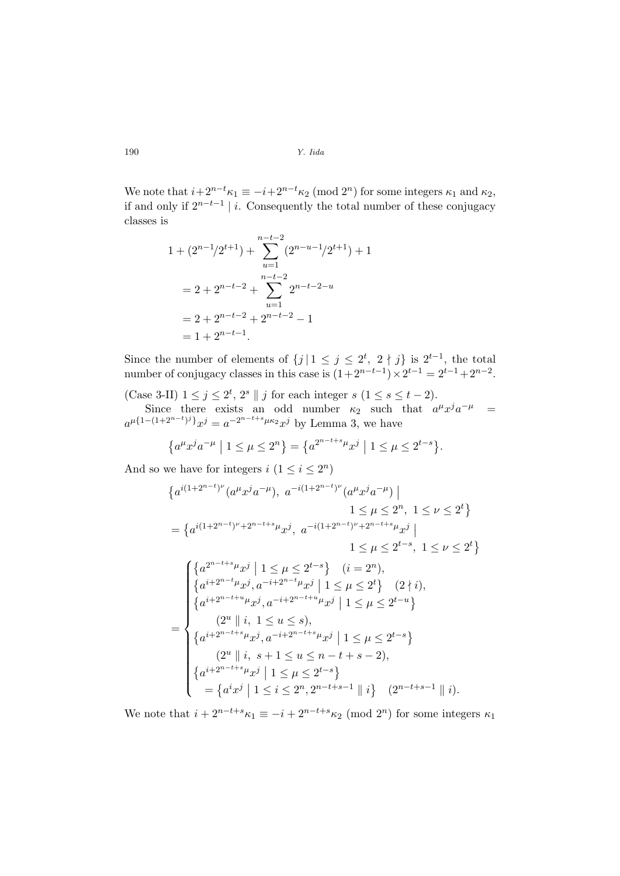We note that  $i+2^{n-t}\kappa_1 \equiv -i+2^{n-t}\kappa_2 \pmod{2^n}$  for some integers  $\kappa_1$  and  $\kappa_2$ , if and only if  $2^{n-t-1}$  | i. Consequently the total number of these conjugacy classes is

$$
1 + (2^{n-1}/2^{t+1}) + \sum_{u=1}^{n-t-2} (2^{n-u-1}/2^{t+1}) + 1
$$
  
= 2 + 2<sup>n-t-2</sup> +  $\sum_{u=1}^{n-t-2} 2^{n-t-2-u}$   
= 2 + 2<sup>n-t-2</sup> + 2<sup>n-t-2</sup> - 1  
= 1 + 2<sup>n-t-1</sup>.

Since the number of elements of  $\{j \mid 1 \leq j \leq 2^t, 2 \nmid j\}$  is  $2^{t-1}$ , the total number of conjugacy classes in this case is  $(1+2^{n-t-1}) \times 2^{t-1} = 2^{t-1} + 2^{n-2}$ .

(Case 3-II)  $1 \leq j \leq 2^t$ ,  $2^s \parallel j$  for each integer  $s$   $(1 \leq s \leq t-2)$ .

Since there exists an odd number  $\kappa_2$  such that  $a^{\mu}x^{\dot{\jmath}}a^{-\mu}$  =  $a^{\mu\{1-(1+2^{n-t})^j\}}x^j = a^{-2^{n-t+s}\mu\kappa_2}x^j$  by Lemma 3, we have

$$
\{a^{\mu}x^{j}a^{-\mu} \mid 1 \le \mu \le 2^{n}\} = \{a^{2^{n-t+s}\mu}x^{j} \mid 1 \le \mu \le 2^{t-s}\}.
$$

And so we have for integers  $i (1 \leq i \leq 2^n)$ 

$$
\{a^{i(1+2^{n-t})\nu}(a^{\mu}x^{j}a^{-\mu}), a^{-i(1+2^{n-t})\nu}(a^{\mu}x^{j}a^{-\mu})\mid
$$
  
\n
$$
1 \leq \mu \leq 2^{n}, 1 \leq \nu \leq 2^{t}\}
$$
  
\n
$$
= \{a^{i(1+2^{n-t})\nu}+2^{n-t+s}\mu_{x}j, a^{-i(1+2^{n-t})\nu}+2^{n-t+s}\mu_{x}j\mid
$$
  
\n
$$
1 \leq \mu \leq 2^{t-s}, 1 \leq \nu \leq 2^{t}\}
$$
  
\n
$$
\{(a^{2^{n-t+s}\mu_{x}j} \mid 1 \leq \mu \leq 2^{t-s}\} \quad (i = 2^{n}),
$$
  
\n
$$
\{a^{i+2^{n-t}\mu_{x}j}, a^{-i+2^{n-t}\mu_{x}j} \mid 1 \leq \mu \leq 2^{t}\} \quad (2 \nmid i),
$$
  
\n
$$
\{a^{i+2^{n-t+\mu_{\mu}}j}, a^{-i+2^{n-t+\mu_{\mu}}j} \mid 1 \leq \mu \leq 2^{t-u}\}
$$
  
\n
$$
(2^{u} \parallel i, 1 \leq u \leq s),
$$
  
\n
$$
\{a^{i+2^{n-t+s}\mu_{x}j}, a^{-i+2^{n-t+s}\mu_{x}j} \mid 1 \leq \mu \leq 2^{t-s}\}
$$
  
\n
$$
(2^{u} \parallel i, s+1 \leq u \leq n-t+s-2),
$$
  
\n
$$
\{a^{i+2^{n-t+s}\mu_{x}j} \mid 1 \leq \mu \leq 2^{t-s}\}
$$
  
\n
$$
= \{a^{i}x^{j} \mid 1 \leq i \leq 2^{n}, 2^{n-t+s-1} \parallel i\}
$$
  
\n
$$
(2^{n-t+s-1} \parallel i).
$$

We note that  $i + 2^{n-t+s} \kappa_1 \equiv -i + 2^{n-t+s} \kappa_2 \pmod{2^n}$  for some integers  $\kappa_1$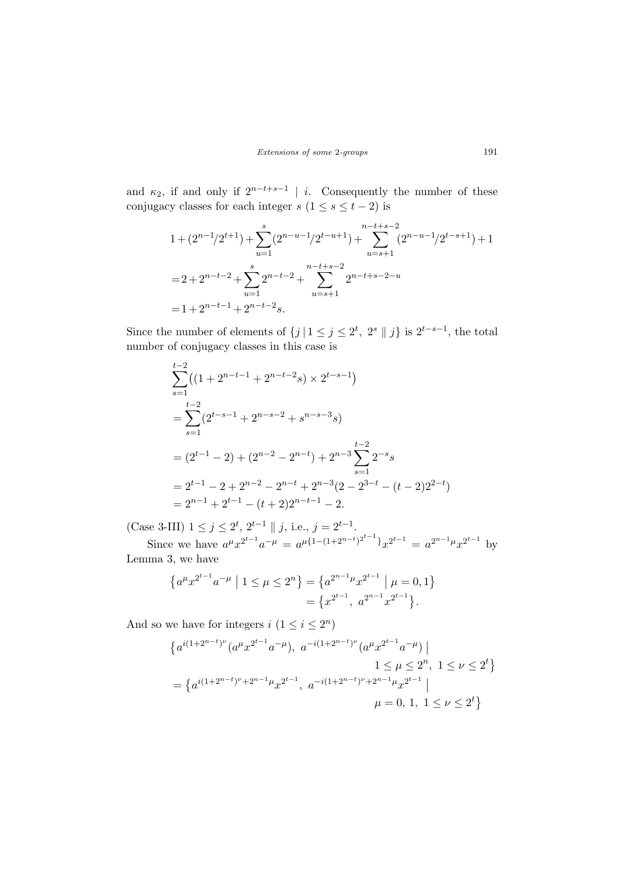and  $\kappa_2$ , if and only if  $2^{n-t+s-1}$  | *i*. Consequently the number of these conjugacy classes for each integer s  $(1 \leq s \leq t - 2)$  is

$$
1 + (2^{n-1}/2^{t+1}) + \sum_{u=1}^{s} (2^{n-u-1}/2^{t-u+1}) + \sum_{u=s+1}^{n-t+s-2} (2^{n-u-1}/2^{t-s+1}) + 1
$$
  
=  $2 + 2^{n-t-2} + \sum_{u=1}^{s} 2^{n-t-2} + \sum_{u=s+1}^{n-t+s-2} 2^{n-t+s-2-u}$   
=  $1 + 2^{n-t-1} + 2^{n-t-2}s$ .

Since the number of elements of  $\{j \mid 1 \leq j \leq 2^t, 2^s \mid j\}$  is  $2^{t-s-1}$ , the total number of conjugacy classes in this case is

$$
\sum_{s=1}^{t-2} ((1+2^{n-t-1}+2^{n-t-2}s) \times 2^{t-s-1})
$$
  
= 
$$
\sum_{s=1}^{t-2} (2^{t-s-1}+2^{n-s-2}+s^{n-s-3}s)
$$
  
= 
$$
(2^{t-1}-2) + (2^{n-2}-2^{n-t}) + 2^{n-3} \sum_{s=1}^{t-2} 2^{-s}s
$$
  
= 
$$
2^{t-1} - 2 + 2^{n-2} - 2^{n-t} + 2^{n-3} (2 - 2^{3-t} - (t-2)2^{2-t})
$$
  
= 
$$
2^{n-1} + 2^{t-1} - (t+2)2^{n-t-1} - 2.
$$

(Case 3-III)  $1 \leq j \leq 2^t$ ,  $2^{t-1} \parallel j$ , i.e.,  $j = 2^{t-1}$ .

Since we have  $a^{\mu}x^{2^{t-1}}a^{-\mu} = a^{\mu\{1-(1+2^{n-t})^{2^{t-1}}\}}x^{2^{t-1}} = a^{2^{n-1}\mu}x^{2^{t-1}}$  by Lemma 3, we have

$$
\{a^{\mu}x^{2^{t-1}}a^{-\mu} \mid 1 \le \mu \le 2^{n}\} = \{a^{2^{n-1}\mu}x^{2^{t-1}} \mid \mu = 0, 1\}
$$
  
=  $\{x^{2^{t-1}}, a^{2^{n-1}}x^{2^{t-1}}\}.$ 

And so we have for integers  $i (1 \leq i \leq 2^n)$ 

$$
\{a^{i(1+2^{n-t})^{\nu}}(a^{\mu}x^{2^{t-1}}a^{-\mu}), a^{-i(1+2^{n-t})^{\nu}}(a^{\mu}x^{2^{t-1}}a^{-\mu}) \mid
$$
  
\n
$$
1 \leq \mu \leq 2^{n}, 1 \leq \nu \leq 2^{t}\}
$$
  
\n
$$
= \{a^{i(1+2^{n-t})^{\nu}+2^{n-1}\mu}x^{2^{t-1}}, a^{-i(1+2^{n-t})^{\nu}+2^{n-1}\mu}x^{2^{t-1}} \mid
$$
  
\n
$$
\mu = 0, 1, 1 \leq \nu \leq 2^{t}\}
$$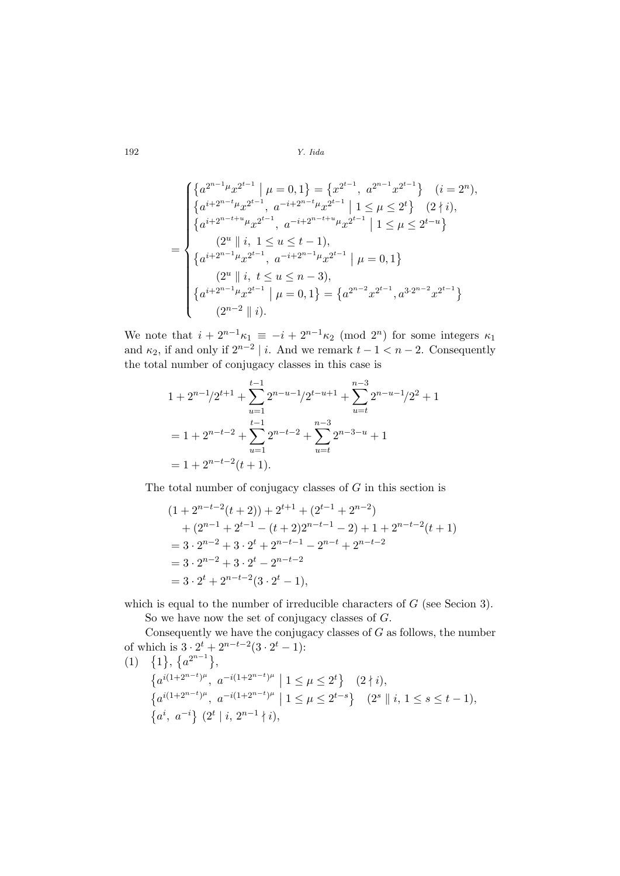$$
\begin{cases}\n\left\{a^{2^{n-1}\mu}x^{2^{t-1}} \mid \mu = 0, 1\right\} = \left\{x^{2^{t-1}}, a^{2^{n-1}}x^{2^{t-1}}\right\} & (i = 2^n), \\
\left\{a^{i+2^{n-t}\mu}x^{2^{t-1}}, a^{-i+2^{n-t}\mu}x^{2^{t-1}} \mid 1 \le \mu \le 2^t\right\} & (2 \nmid i), \\
\left\{a^{i+2^{n-t+\mu}}x^{2^{t-1}}, a^{-i+2^{n-t+\mu}}\mu x^{2^{t-1}} \mid 1 \le \mu \le 2^{t-u}\right\} \\
\left\{a^{i+2^{n-1}\mu}x^{2^{t-1}}, a^{-i+2^{n-1}\mu}x^{2^{t-1}} \mid \mu = 0, 1\right\} \\
\left\{2^u \mid i, t \le u \le n-3\right), \\
\left\{a^{i+2^{n-1}\mu}x^{2^{t-1}} \mid \mu = 0, 1\right\} = \left\{a^{2^{n-2}}x^{2^{t-1}}, a^{3 \cdot 2^{n-2}}x^{2^{t-1}}\right\} \\
(2^{n-2} \mid i).\n\end{cases}
$$

We note that  $i + 2^{n-1} \kappa_1 \equiv -i + 2^{n-1} \kappa_2 \pmod{2^n}$  for some integers  $\kappa_1$ and  $\kappa_2$ , if and only if  $2^{n-2}$  | i. And we remark  $t - 1 < n - 2$ . Consequently the total number of conjugacy classes in this case is

$$
1 + 2^{n-1/2^{t+1}} + \sum_{u=1}^{t-1} 2^{n-u-1/2^{t-u+1}} + \sum_{u=t}^{n-3} 2^{n-u-1/2^2} + 1
$$
  
=  $1 + 2^{n-t-2} + \sum_{u=1}^{t-1} 2^{n-t-2} + \sum_{u=t}^{n-3} 2^{n-3-u} + 1$   
=  $1 + 2^{n-t-2}(t+1)$ .

The total number of conjugacy classes of  $G$  in this section is

$$
(1+2^{n-t-2}(t+2)) + 2^{t+1} + (2^{t-1} + 2^{n-2})
$$
  
+  $(2^{n-1} + 2^{t-1} - (t+2)2^{n-t-1} - 2) + 1 + 2^{n-t-2}(t+1)$   
=  $3 \cdot 2^{n-2} + 3 \cdot 2^t + 2^{n-t-1} - 2^{n-t} + 2^{n-t-2}$   
=  $3 \cdot 2^{n-2} + 3 \cdot 2^t - 2^{n-t-2}$   
=  $3 \cdot 2^t + 2^{n-t-2}(3 \cdot 2^t - 1),$ 

which is equal to the number of irreducible characters of  $G$  (see Secion 3).

So we have now the set of conjugacy classes of G.

Consequently we have the conjugacy classes of  $G$  as follows, the number of which is  $3 \cdot 2^{t} + 2^{n-t-2} (3 \cdot 2^{t} - 1)$ :<br>(1)  $\{1\}, \{a^{2^{n-1}}\},$ ª  $\frac{1}{c}$ 

$$
(1) \{1\}, \{a^{2^{n-1}}\},
$$
\n
$$
\{a^{i(1+2^{n-t})^{\mu}}, a^{-i(1+2^{n-t})^{\mu}} \mid 1 \leq \mu \leq 2^{t}\} \quad (2 \nmid i),
$$
\n
$$
\{a^{i(1+2^{n-t})^{\mu}}, a^{-i(1+2^{n-t})^{\mu}} \mid 1 \leq \mu \leq 2^{t-s}\} \quad (2^{s} \parallel i, 1 \leq s \leq t-1),
$$
\n
$$
\{a^{i}, a^{-i}\} (2^{t} \mid i, 2^{n-1} \nmid i),
$$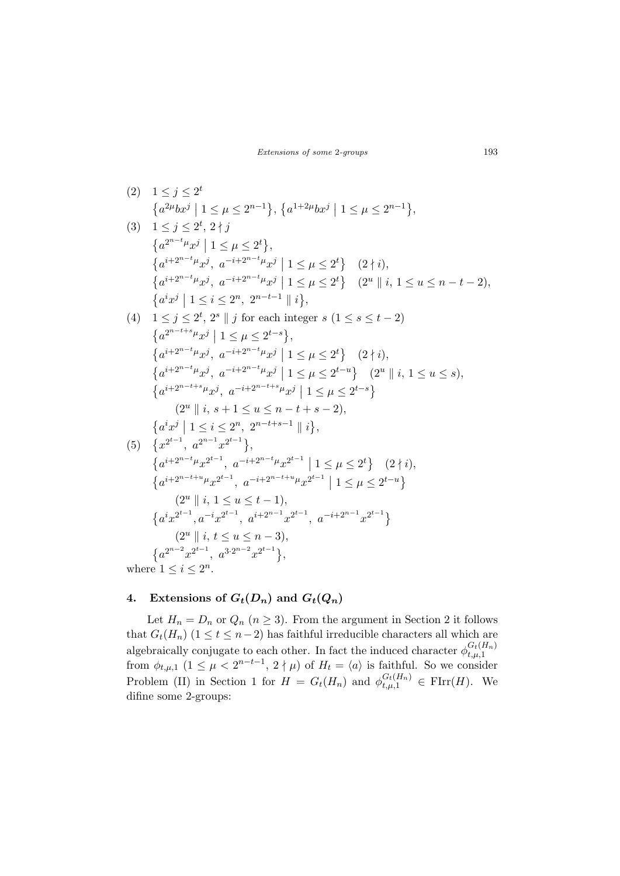$$
(2) \quad 1 \leq j \leq 2^{t}
$$
\n
$$
\left\{a^{2\mu}bx^{j} \mid 1 \leq \mu \leq 2^{n-1}\right\}, \left\{a^{1+2\mu}bx^{j} \mid 1 \leq \mu \leq 2^{n-1}\right\},
$$
\n
$$
(3) \quad 1 \leq j \leq 2^{t}, 2 \nmid j
$$
\n
$$
\left\{a^{i-2^{n-t}\mu}x^{j} \mid 1 \leq \mu \leq 2^{t}\right\},
$$
\n
$$
\left\{a^{i+2^{n-t}\mu}x^{j}, \ a^{-i+2^{n-t}\mu}x^{j} \mid 1 \leq \mu \leq 2^{t}\right\} \quad (2 \nmid i),
$$
\n
$$
\left\{a^{i+2^{n-t}\mu}x^{j}, \ a^{-i+2^{n-t}\mu}x^{j} \mid 1 \leq \mu \leq 2^{t}\right\} \quad (2^{u} \parallel i, 1 \leq u \leq n-t-2),
$$
\n
$$
\left\{a^{i}x^{j} \mid 1 \leq i \leq 2^{n}, 2^{n-t-1} \parallel i\right\},
$$
\n
$$
(4) \quad 1 \leq j \leq 2^{t}, 2^{s} \parallel j \text{ for each integer } s \quad (1 \leq s \leq t-2)
$$
\n
$$
\left\{a^{2^{n-t+s}\mu}x^{j} \mid 1 \leq \mu \leq 2^{t-s}\right\},
$$
\n
$$
\left\{a^{i+2^{n-t}\mu}x^{j}, \ a^{-i+2^{n-t}\mu}x^{j} \mid 1 \leq \mu \leq 2^{t}\right\} \quad (2^{u} \parallel i, 1 \leq u \leq s),
$$
\n
$$
\left\{a^{i+2^{n-t+s}\mu}x^{j}, \ a^{-i+2^{n-t+s}\mu}x^{j} \mid 1 \leq \mu \leq 2^{t-s}\right\}
$$
\n
$$
(2^{u} \parallel i, s+1 \leq u \leq n-t+s-2),
$$
\n
$$
\left\{a^{i+2^{n-t+s}\mu}x^{j} \mid 1 \leq \mu \leq 2^{t-s}\right\}
$$
\n
$$
(2^{u} \parallel i, s+1 \
$$

4. Extensions of  $G_t(D_n)$  and  $G_t(Q_n)$ 

Let  $H_n = D_n$  or  $Q_n$   $(n \geq 3)$ . From the argument in Section 2 it follows that  $G_t(H_n)$  (1 ≤ t ≤ n-2) has faithful irreducible characters all which are algebraically conjugate to each other. In fact the induced character  $\phi_{t,u}^{G_t(H_n)}$  $t,\mu,1$ from  $\phi_{t,\mu,1}$   $(1 \leq \mu < 2^{n-t-1}, 2 \nmid \mu)$  of  $H_t = \langle a \rangle$  is faithful. So we consider Problem (II) in Section 1 for  $H = G_t(H_n)$  and  $\phi_{t,\mu,1}^{G_t(H_n)} \in \text{FIrr}(H)$ . We difine some 2-groups: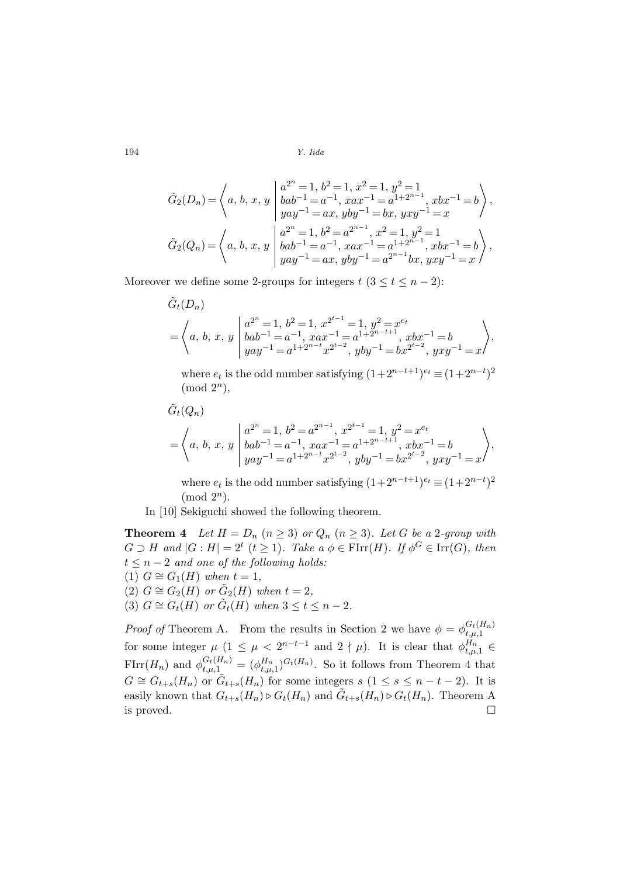$$
\tilde{G}_2(D_n) = \left\langle a, b, x, y \mid \begin{array}{l} a^{2^n} = 1, b^2 = 1, x^2 = 1, y^2 = 1 \\ bab^{-1} = a^{-1}, xax^{-1} = a^{1+2^{n-1}}, xbx^{-1} = b \\ yay^{-1} = ax, yby^{-1} = bx, yxy^{-1} = x \end{array} \right\rangle,
$$
\n
$$
\tilde{G}_2(Q_n) = \left\langle a, b, x, y \mid \begin{array}{l} a^{2^n} = 1, b^2 = a^{2^{n-1}}, x^2 = 1, y^2 = 1 \\ bab^{-1} = a^{-1}, xax^{-1} = a^{1+2^{n-1}}, xbx^{-1} = b \\ yay^{-1} = ax, yby^{-1} = a^{2^{n-1}}bx, yxy^{-1} = x \end{array} \right\rangle,
$$

Moreover we define some 2-groups for integers  $t$  ( $3 \le t \le n-2$ ):

$$
\tilde{G}_t(D_n)
$$
\n
$$
= \left\langle a, b, x, y \mid \begin{aligned}\na^{2^n} &= 1, b^2 = 1, x^{2^{t-1}} = 1, y^2 = x^{e_t} \\
bab^{-1} &= a^{-1}, xax^{-1} = a^{1+2^{n-t+1}}, xbx^{-1} = b \\
yay^{-1} &= a^{1+2^{n-t}}x^{2^{t-2}}, yby^{-1} = bx^{2^{t-2}}, yxy^{-1} = x\n\end{aligned}\right\rangle,
$$

where  $e_t$  is the odd number satisfying  $(1+2^{n-t+1})^{e_t} \equiv (1+2^{n-t})^2$  $\pmod{2^n}$ ,

$$
\tilde{G}_{t}(Q_{n})
$$
\n
$$
= \left\langle a, b, x, y \mid a^{2^{n}} = 1, b^{2} = a^{2^{n-1}}, x^{2^{t-1}} = 1, y^{2} = x^{e_{t}} \right\rangle
$$
\n
$$
= \left\langle a, b, x, y \mid bab^{-1} = a^{-1}, xax^{-1} = a^{1+2^{n-t+1}}, xbx^{-1} = b \right\rangle
$$
\n
$$
= a^{1+2^{n-t}}x^{2^{t-2}}, yby^{-1} = bx^{2^{t-2}}, yxy^{-1} = x \right\rangle
$$

where  $e_t$  is the odd number satisfying  $(1+2^{n-t+1})^{e_t} \equiv (1+2^{n-t})^2$  $\pmod{2^n}$ .

In [10] Sekiguchi showed the following theorem.

**Theorem 4** Let  $H = D_n$   $(n \geq 3)$  or  $Q_n$   $(n \geq 3)$ . Let G be a 2-group with  $G \supset H$  and  $|G : H| = 2^t$   $(t \geq 1)$ . Take  $a \phi \in \text{FIrr}(H)$ . If  $\phi^G \in \text{Irr}(G)$ , then  $t \leq n-2$  and one of the following holds: (1)  $G \cong G_1(H)$  when  $t = 1$ ,

- (2)  $G \cong G_2(H)$  or  $\tilde{G}_2(H)$  when  $t = 2$ ,
- (3)  $G \cong G_t(H)$  or  $\tilde{G}_t(H)$  when  $3 \leq t \leq n-2$ .

*Proof of* Theorem A. From the results in Section 2 we have  $\phi = \phi_{t,n-1}^{G_t(H_n)}$  $t,\mu,1$ for some integer  $\mu$   $(1 \leq \mu < 2^{n-t-1} \text{ and } 2 \nmid \mu)$ . It is clear that  $\phi_{t,\mu,1}^{H_n} \in$  $\text{FIrr}(H_n)$  and  $\phi^{G_t(H_n)}_{t,\mu,1} = (\phi^{H_n}_{t,\mu,1})^{G_t(H_n)}$ . So it follows from Theorem 4 that  $G \cong G_{t+s}(H_n)$  or  $\tilde{G}_{t+s}(H_n)$  for some integers  $s$   $(1 \leq s \leq n-t-2)$ . It is easily known that  $G_{t+s}(H_n) \triangleright G_t(H_n)$  and  $\tilde{G}_{t+s}(H_n) \triangleright G_t(H_n)$ . Theorem A is proved.  $\Box$